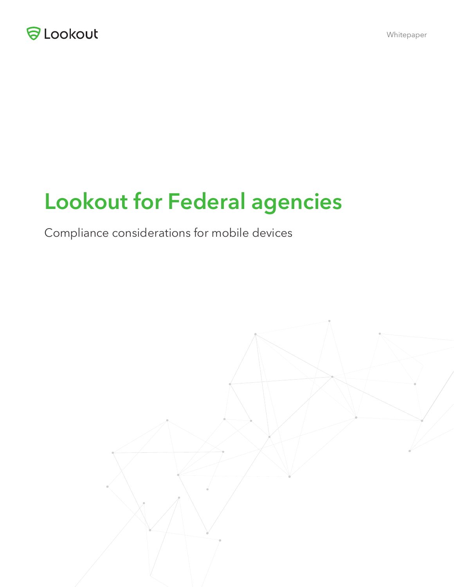

# **Lookout for Federal agencies**

Compliance considerations for mobile devices

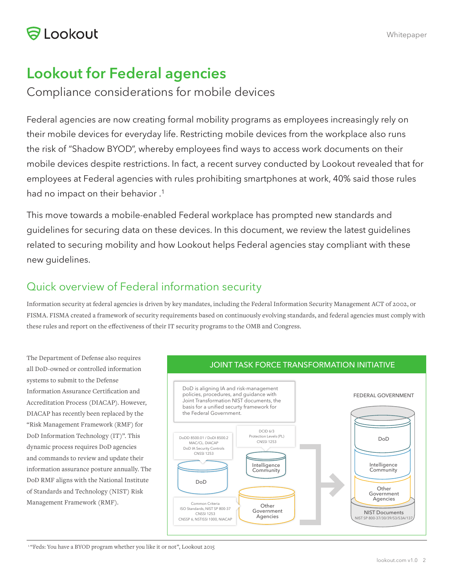## **Lookout for Federal agencies**

Compliance considerations for mobile devices

Federal agencies are now creating formal mobility programs as employees increasingly rely on their mobile devices for everyday life. Restricting mobile devices from the workplace also runs the risk of "Shadow BYOD", whereby employees find ways to access work documents on their mobile devices despite restrictions. In fact, a recent survey conducted by Lookout revealed that for employees at Federal agencies with rules prohibiting smartphones at work, 40% said those rules had no impact on their behavior .<sup>1</sup>

This move towards a mobile-enabled Federal workplace has prompted new standards and guidelines for securing data on these devices. In this document, we review the latest guidelines related to securing mobility and how Lookout helps Federal agencies stay compliant with these new guidelines.

### Quick overview of Federal information security

Information security at federal agencies is driven by key mandates, including the Federal Information Security Management ACT of 2002, or FISMA. FISMA created a framework of security requirements based on continuously evolving standards, and federal agencies must comply with these rules and report on the effectiveness of their IT security programs to the OMB and Congress.

The Department of Defense also requires all DoD-owned or controlled information systems to submit to the Defense Information Assurance Certification and Accreditation Process (DIACAP). However, DIACAP has recently been replaced by the "Risk Management Framework (RMF) for DoD Information Technology (IT)". This dynamic process requires DoD agencies and commands to review and update their information assurance posture annually. The DoD RMF aligns with the National Institute of Standards and Technology (NIST) Risk Management Framework (RMF).



<sup>1</sup> "Feds: You have a BYOD program whether you like it or not", Lookout 2015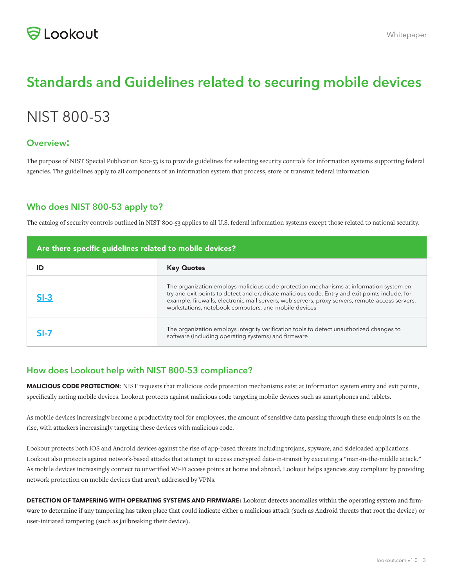### **Standards and Guidelines related to securing mobile devices**

### NIST 800-53

#### **Overview:**

The purpose of NIST Special Publication 800-53 is to provide guidelines for selecting security controls for information systems supporting federal agencies. The guidelines apply to all components of an information system that process, store or transmit federal information.

#### **Who does NIST 800-53 apply to?**

The catalog of security controls outlined in NIST 800-53 applies to all U.S. federal information systems except those related to national security.

| Are there specific guidelines related to mobile devices? |                                                                                                                                                                                                                                                                                                                                                      |  |
|----------------------------------------------------------|------------------------------------------------------------------------------------------------------------------------------------------------------------------------------------------------------------------------------------------------------------------------------------------------------------------------------------------------------|--|
| ID                                                       | <b>Key Quotes</b>                                                                                                                                                                                                                                                                                                                                    |  |
| $SI-3$                                                   | The organization employs malicious code protection mechanisms at information system en-<br>try and exit points to detect and eradicate malicious code. Entry and exit points include, for<br>example, firewalls, electronic mail servers, web servers, proxy servers, remote-access servers,<br>workstations, notebook computers, and mobile devices |  |
|                                                          | The organization employs integrity verification tools to detect unauthorized changes to<br>software (including operating systems) and firmware                                                                                                                                                                                                       |  |

#### **How does Lookout help with NIST 800-53 compliance?**

**MALICIOUS CODE PROTECTION**: NIST requests that malicious code protection mechanisms exist at information system entry and exit points, specifically noting mobile devices. Lookout protects against malicious code targeting mobile devices such as smartphones and tablets.

As mobile devices increasingly become a productivity tool for employees, the amount of sensitive data passing through these endpoints is on the rise, with attackers increasingly targeting these devices with malicious code.

Lookout protects both iOS and Android devices against the rise of app-based threats including trojans, spyware, and sideloaded applications. Lookout also protects against network-based attacks that attempt to access encrypted data-in-transit by executing a "man-in-the-middle attack." As mobile devices increasingly connect to unverified Wi-Fi access points at home and abroad, Lookout helps agencies stay compliant by providing network protection on mobile devices that aren't addressed by VPNs.

**DETECTION OF TAMPERING WITH OPERATING SYSTEMS AND FIRMWARE:** Lookout detects anomalies within the operating system and firmware to determine if any tampering has taken place that could indicate either a malicious attack (such as Android threats that root the device) or user-initiated tampering (such as jailbreaking their device).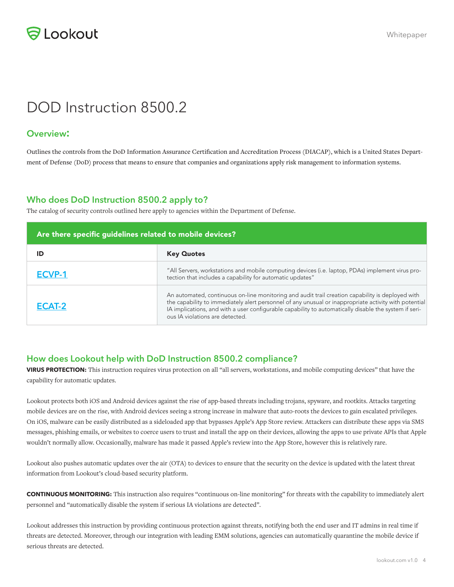

### DOD Instruction 8500.2

#### **Overview:**

Outlines the controls from the DoD Information Assurance Certification and Accreditation Process (DIACAP), which is a United States Department of Defense (DoD) process that means to ensure that companies and organizations apply risk management to information systems.

#### **Who does DoD Instruction 8500.2 apply to?**

The catalog of security controls outlined here apply to agencies within the Department of Defense.

| Are there specific guidelines related to mobile devices? |                                                                                                                                                                                                                                                                                                                                                       |  |
|----------------------------------------------------------|-------------------------------------------------------------------------------------------------------------------------------------------------------------------------------------------------------------------------------------------------------------------------------------------------------------------------------------------------------|--|
| ID                                                       | <b>Key Quotes</b>                                                                                                                                                                                                                                                                                                                                     |  |
| ECVP-1                                                   | "All Servers, workstations and mobile computing devices (i.e. laptop, PDAs) implement virus pro-<br>tection that includes a capability for automatic updates"                                                                                                                                                                                         |  |
| ECAT-2                                                   | An automated, continuous on-line monitoring and audit trail creation capability is deployed with<br>the capability to immediately alert personnel of any unusual or inappropriate activity with potential<br>IA implications, and with a user configurable capability to automatically disable the system if seri-<br>ous IA violations are detected. |  |

#### **How does Lookout help with DoD Instruction 8500.2 compliance?**

**VIRUS PROTECTION:** This instruction requires virus protection on all "all servers, workstations, and mobile computing devices" that have the capability for automatic updates.

Lookout protects both iOS and Android devices against the rise of app-based threats including trojans, spyware, and rootkits. Attacks targeting mobile devices are on the rise, with Android devices seeing a strong increase in malware that auto-roots the devices to gain escalated privileges. On iOS, malware can be easily distributed as a sideloaded app that bypasses Apple's App Store review. Attackers can distribute these apps via SMS messages, phishing emails, or websites to coerce users to trust and install the app on their devices, allowing the apps to use private APIs that Apple wouldn't normally allow. Occasionally, malware has made it passed Apple's review into the App Store, however this is relatively rare.

Lookout also pushes automatic updates over the air (OTA) to devices to ensure that the security on the device is updated with the latest threat information from Lookout's cloud-based security platform.

**CONTINUOUS MONITORING:** This instruction also requires "continuous on-line monitoring" for threats with the capability to immediately alert personnel and "automatically disable the system if serious IA violations are detected".

Lookout addresses this instruction by providing continuous protection against threats, notifying both the end user and IT admins in real time if threats are detected. Moreover, through our integration with leading EMM solutions, agencies can automatically quarantine the mobile device if serious threats are detected.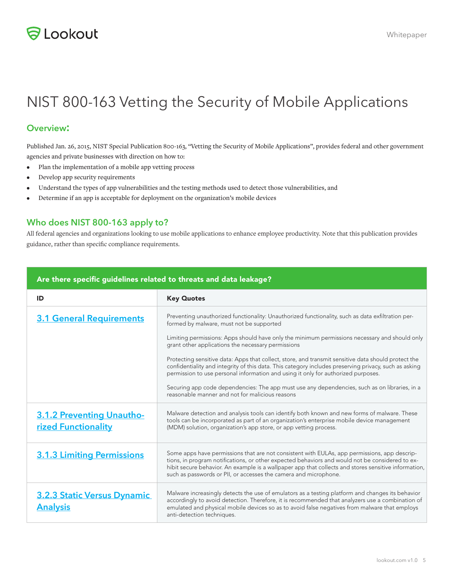

## NIST 800-163 Vetting the Security of Mobile Applications

#### **Overview:**

Published Jan. 26, 2015, NIST Special Publication 800-163, "Vetting the Security of Mobile Applications", provides federal and other government agencies and private businesses with direction on how to:

- Plan the implementation of a mobile app vetting process
- Develop app security requirements
- Understand the types of app vulnerabilities and the testing methods used to detect those vulnerabilities, and
- Determine if an app is acceptable for deployment on the organization's mobile devices

#### **Who does NIST 800-163 apply to?**

All federal agencies and organizations looking to use mobile applications to enhance employee productivity. Note that this publication provides guidance, rather than specific compliance requirements.

| Are there specific guidelines related to threats and data leakage? |                                                                                                                                                                                                                                                                                                                                                                                                                                                                                                                                                                                                                                                                                                                                                               |  |
|--------------------------------------------------------------------|---------------------------------------------------------------------------------------------------------------------------------------------------------------------------------------------------------------------------------------------------------------------------------------------------------------------------------------------------------------------------------------------------------------------------------------------------------------------------------------------------------------------------------------------------------------------------------------------------------------------------------------------------------------------------------------------------------------------------------------------------------------|--|
| ID                                                                 | <b>Key Quotes</b>                                                                                                                                                                                                                                                                                                                                                                                                                                                                                                                                                                                                                                                                                                                                             |  |
| <b>3.1 General Requirements</b>                                    | Preventing unauthorized functionality: Unauthorized functionality, such as data exfiltration per-<br>formed by malware, must not be supported<br>Limiting permissions: Apps should have only the minimum permissions necessary and should only<br>grant other applications the necessary permissions<br>Protecting sensitive data: Apps that collect, store, and transmit sensitive data should protect the<br>confidentiality and integrity of this data. This category includes preserving privacy, such as asking<br>permission to use personal information and using it only for authorized purposes.<br>Securing app code dependencies: The app must use any dependencies, such as on libraries, in a<br>reasonable manner and not for malicious reasons |  |
| <b>3.1.2 Preventing Unautho-</b><br>rized Functionality            | Malware detection and analysis tools can identify both known and new forms of malware. These<br>tools can be incorporated as part of an organization's enterprise mobile device management<br>(MDM) solution, organization's app store, or app vetting process.                                                                                                                                                                                                                                                                                                                                                                                                                                                                                               |  |
| <b>3.1.3 Limiting Permissions</b>                                  | Some apps have permissions that are not consistent with EULAs, app permissions, app descrip-<br>tions, in program notifications, or other expected behaviors and would not be considered to ex-<br>hibit secure behavior. An example is a wallpaper app that collects and stores sensitive information,<br>such as passwords or PII, or accesses the camera and microphone.                                                                                                                                                                                                                                                                                                                                                                                   |  |
| <b>3.2.3 Static Versus Dynamic</b><br><b>Analysis</b>              | Malware increasingly detects the use of emulators as a testing platform and changes its behavior<br>accordingly to avoid detection. Therefore, it is recommended that analyzers use a combination of<br>emulated and physical mobile devices so as to avoid false negatives from malware that employs<br>anti-detection techniques.                                                                                                                                                                                                                                                                                                                                                                                                                           |  |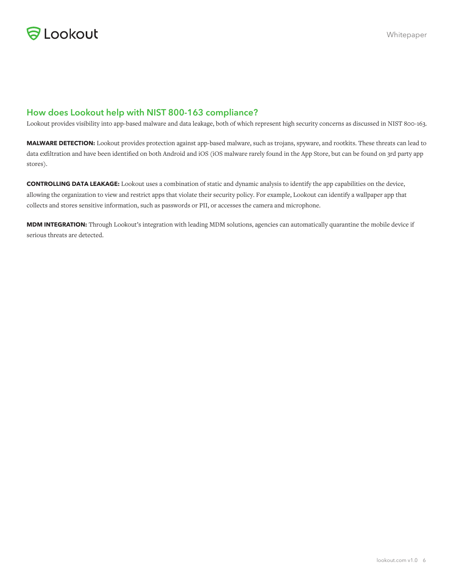

#### **How does Lookout help with NIST 800-163 compliance?**

Lookout provides visibility into app-based malware and data leakage, both of which represent high security concerns as discussed in NIST 800-163.

**MALWARE DETECTION:** Lookout provides protection against app-based malware, such as trojans, spyware, and rootkits. These threats can lead to data exfiltration and have been identified on both Android and iOS (iOS malware rarely found in the App Store, but can be found on 3rd party app stores).

**CONTROLLING DATA LEAKAGE:** Lookout uses a combination of static and dynamic analysis to identify the app capabilities on the device, allowing the organization to view and restrict apps that violate their security policy. For example, Lookout can identify a wallpaper app that collects and stores sensitive information, such as passwords or PII, or accesses the camera and microphone.

**MDM INTEGRATION:** Through Lookout's integration with leading MDM solutions, agencies can automatically quarantine the mobile device if serious threats are detected.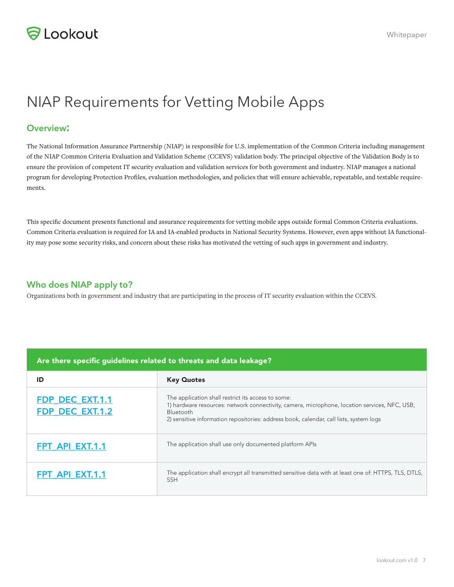

### NIAP Requirements for Vetting Mobile Apps

#### **Overview:**

The National Information Assurance Partnership (NIAP) is responsible for U.S. implementation of the Common Criteria including management of the NIAP Common Criteria Evaluation and Validation Scheme (CCEVS) validation body. The principal objective of the Validation Body is to ensure the provision of competent IT security evaluation and validation services for both government and industry. NIAP manages a national program for developing Protection Profiles, evaluation methodologies, and policies that will ensure achievable, repeatable, and testable requirements.

This specific document presents functional and assurance requirements for vetting mobile apps outside formal Common Criteria evaluations. Common Criteria evaluation is required for IA and IA-enabled products in National Security Systems. However, even apps without IA functionality may pose some security risks, and concern about these risks has motivated the vetting of such apps in government and industry.

#### **Who does NIAP apply to?**

Organizations both in government and industry that are participating in the process of IT security evaluation within the CCEVS.

| Are there specific guidelines related to threats and data leakage? |                                                                                                                                                                                                                                                            |  |
|--------------------------------------------------------------------|------------------------------------------------------------------------------------------------------------------------------------------------------------------------------------------------------------------------------------------------------------|--|
| ID                                                                 | <b>Key Quotes</b>                                                                                                                                                                                                                                          |  |
| <b>FDP DEC EXT.1.1</b><br><b>FDP DEC EXT.1.2</b>                   | The application shall restrict its access to some:<br>1) hardware resources: network connectivity, camera, microphone, location services, NFC, USB,<br>Bluetooth<br>2) sensitive information repositories: address book, calendar, call lists, system logs |  |
| FPT API EXT.1.1                                                    | The application shall use only documented platform APIs                                                                                                                                                                                                    |  |
| FPT API EXT.1.1                                                    | The application shall encrypt all transmitted sensitive data with at least one of: HTTPS, TLS, DTLS,<br><b>SSH</b>                                                                                                                                         |  |